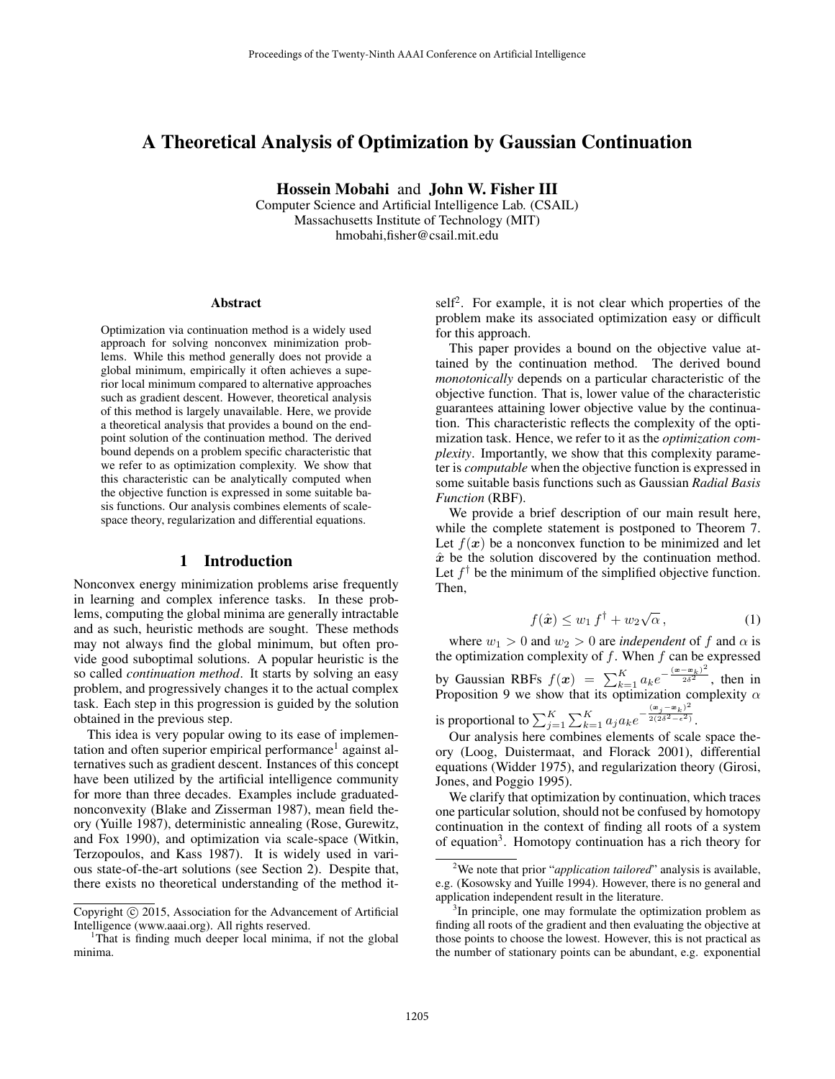# A Theoretical Analysis of Optimization by Gaussian Continuation

Hossein Mobahi and John W. Fisher III

Computer Science and Artificial Intelligence Lab. (CSAIL) Massachusetts Institute of Technology (MIT) hmobahi,fisher@csail.mit.edu

#### Abstract

Optimization via continuation method is a widely used approach for solving nonconvex minimization problems. While this method generally does not provide a global minimum, empirically it often achieves a superior local minimum compared to alternative approaches such as gradient descent. However, theoretical analysis of this method is largely unavailable. Here, we provide a theoretical analysis that provides a bound on the endpoint solution of the continuation method. The derived bound depends on a problem specific characteristic that we refer to as optimization complexity. We show that this characteristic can be analytically computed when the objective function is expressed in some suitable basis functions. Our analysis combines elements of scalespace theory, regularization and differential equations.

## 1 Introduction

Nonconvex energy minimization problems arise frequently in learning and complex inference tasks. In these problems, computing the global minima are generally intractable and as such, heuristic methods are sought. These methods may not always find the global minimum, but often provide good suboptimal solutions. A popular heuristic is the so called *continuation method*. It starts by solving an easy problem, and progressively changes it to the actual complex task. Each step in this progression is guided by the solution obtained in the previous step.

This idea is very popular owing to its ease of implementation and often superior empirical performance<sup>1</sup> against alternatives such as gradient descent. Instances of this concept have been utilized by the artificial intelligence community for more than three decades. Examples include graduatednonconvexity (Blake and Zisserman 1987), mean field theory (Yuille 1987), deterministic annealing (Rose, Gurewitz, and Fox 1990), and optimization via scale-space (Witkin, Terzopoulos, and Kass 1987). It is widely used in various state-of-the-art solutions (see Section 2). Despite that, there exists no theoretical understanding of the method it-

self<sup>2</sup>. For example, it is not clear which properties of the problem make its associated optimization easy or difficult for this approach.

This paper provides a bound on the objective value attained by the continuation method. The derived bound *monotonically* depends on a particular characteristic of the objective function. That is, lower value of the characteristic guarantees attaining lower objective value by the continuation. This characteristic reflects the complexity of the optimization task. Hence, we refer to it as the *optimization complexity*. Importantly, we show that this complexity parameter is *computable* when the objective function is expressed in some suitable basis functions such as Gaussian *Radial Basis Function* (RBF).

We provide a brief description of our main result here, while the complete statement is postponed to Theorem 7. Let  $f(x)$  be a nonconvex function to be minimized and let  $\hat{x}$  be the solution discovered by the continuation method. Let  $f^{\dagger}$  be the minimum of the simplified objective function. Then,

$$
f(\hat{\boldsymbol{x}}) \le w_1 f^{\dagger} + w_2 \sqrt{\alpha}, \qquad (1)
$$

where  $w_1 > 0$  and  $w_2 > 0$  are *independent* of f and  $\alpha$  is the optimization complexity of  $f$ . When  $f$  can be expressed by Gaussian RBFs  $f(x) = \sum_{k=1}^{K} a_k e^{-\frac{(x-\alpha_k)^2}{2\delta^2}}$ , then in Proposition 9 we show that its optimization complexity  $\alpha$ is proportional to  $\sum_{j=1}^{K} \sum_{k=1}^{K} a_j a_k e^{-\frac{(\mathbf{x}_j - \mathbf{x}_k)^2}{2(2\delta^2 - \epsilon^2)}}$  $\sqrt{2(2\delta^2-\epsilon^2)}$ .

Our analysis here combines elements of scale space theory (Loog, Duistermaat, and Florack 2001), differential equations (Widder 1975), and regularization theory (Girosi, Jones, and Poggio 1995).

We clarify that optimization by continuation, which traces one particular solution, should not be confused by homotopy continuation in the context of finding all roots of a system of equation<sup>3</sup>. Homotopy continuation has a rich theory for

Copyright (c) 2015, Association for the Advancement of Artificial Intelligence (www.aaai.org). All rights reserved.

<sup>&</sup>lt;sup>1</sup>That is finding much deeper local minima, if not the global minima.

<sup>2</sup>We note that prior "*application tailored*" analysis is available, e.g. (Kosowsky and Yuille 1994). However, there is no general and application independent result in the literature.

<sup>&</sup>lt;sup>3</sup>In principle, one may formulate the optimization problem as finding all roots of the gradient and then evaluating the objective at those points to choose the lowest. However, this is not practical as the number of stationary points can be abundant, e.g. exponential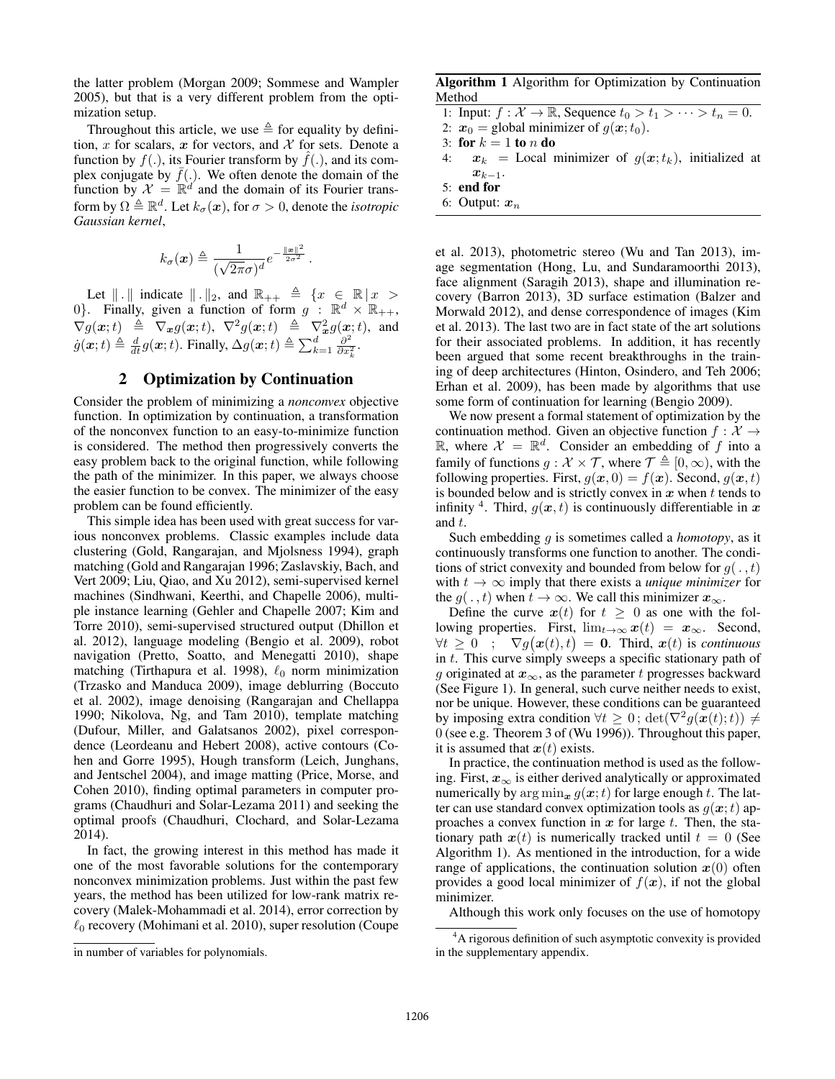the latter problem (Morgan 2009; Sommese and Wampler 2005), but that is a very different problem from the optimization setup.

Throughout this article, we use  $\triangleq$  for equality by definition, x for scalars, x for vectors, and  $X$  for sets. Denote a function by  $f(.)$ , its Fourier transform by  $f(.)$ , and its complex conjugate by  $\bar{f}$ (.). We often denote the domain of the function by  $\mathcal{X} = \mathbb{R}^d$  and the domain of its Fourier transform by  $\Omega \triangleq \mathbb{R}^d$ . Let  $k_{\sigma}(\boldsymbol{x})$ , for  $\sigma > 0$ , denote the *isotropic Gaussian kernel*,

$$
k_{\sigma}(\boldsymbol{x}) \triangleq \frac{1}{(\sqrt{2\pi}\sigma)^d} e^{-\frac{\|\boldsymbol{x}\|^2}{2\sigma^2}}.
$$

Let  $\| \cdot \|$  indicate  $\| \cdot \|_2$ , and  $\mathbb{R}_{++} \triangleq \{x \in \mathbb{R} \mid x >$ 0}. Finally, given a function of form  $g$  :  $\mathbb{R}^d \times \mathbb{R}_{++}$ ,  $\nabla g(\boldsymbol{x};t) \triangleq \nabla_{\boldsymbol{x}} g(\boldsymbol{x};t), \nabla^2 g(\boldsymbol{x};t) \triangleq \nabla_{\boldsymbol{x}}^2 g(\boldsymbol{x};t),$  and  $\dot{g}(\boldsymbol{x};t) \triangleq \frac{d}{dt}g(\boldsymbol{x};t)$ . Finally,  $\Delta g(\boldsymbol{x};t) \triangleq \sum_{k=1}^{d} \frac{\partial^2}{\partial x_k^2}$  $\frac{\partial^2}{\partial x_k^2}$ .

## 2 Optimization by Continuation

Consider the problem of minimizing a *nonconvex* objective function. In optimization by continuation, a transformation of the nonconvex function to an easy-to-minimize function is considered. The method then progressively converts the easy problem back to the original function, while following the path of the minimizer. In this paper, we always choose the easier function to be convex. The minimizer of the easy problem can be found efficiently.

This simple idea has been used with great success for various nonconvex problems. Classic examples include data clustering (Gold, Rangarajan, and Mjolsness 1994), graph matching (Gold and Rangarajan 1996; Zaslavskiy, Bach, and Vert 2009; Liu, Qiao, and Xu 2012), semi-supervised kernel machines (Sindhwani, Keerthi, and Chapelle 2006), multiple instance learning (Gehler and Chapelle 2007; Kim and Torre 2010), semi-supervised structured output (Dhillon et al. 2012), language modeling (Bengio et al. 2009), robot navigation (Pretto, Soatto, and Menegatti 2010), shape matching (Tirthapura et al. 1998),  $\ell_0$  norm minimization (Trzasko and Manduca 2009), image deblurring (Boccuto et al. 2002), image denoising (Rangarajan and Chellappa 1990; Nikolova, Ng, and Tam 2010), template matching (Dufour, Miller, and Galatsanos 2002), pixel correspondence (Leordeanu and Hebert 2008), active contours (Cohen and Gorre 1995), Hough transform (Leich, Junghans, and Jentschel 2004), and image matting (Price, Morse, and Cohen 2010), finding optimal parameters in computer programs (Chaudhuri and Solar-Lezama 2011) and seeking the optimal proofs (Chaudhuri, Clochard, and Solar-Lezama 2014).

In fact, the growing interest in this method has made it one of the most favorable solutions for the contemporary nonconvex minimization problems. Just within the past few years, the method has been utilized for low-rank matrix recovery (Malek-Mohammadi et al. 2014), error correction by  $\ell_0$  recovery (Mohimani et al. 2010), super resolution (Coupe

Algorithm 1 Algorithm for Optimization by Continuation Method

1: Input:  $f: \mathcal{X} \to \mathbb{R}$ , Sequence  $t_0 > t_1 > \cdots > t_n = 0$ .

2:  $x_0$  = global minimizer of  $g(x; t_0)$ .

3: for  $k = 1$  to n do

- 4:  $x_k$  = Local minimizer of  $g(x; t_k)$ , initialized at  $x_{k-1}$ .
- 5: end for
- 6: Output:  $x_n$

et al. 2013), photometric stereo (Wu and Tan 2013), image segmentation (Hong, Lu, and Sundaramoorthi 2013), face alignment (Saragih 2013), shape and illumination recovery (Barron 2013), 3D surface estimation (Balzer and Morwald 2012), and dense correspondence of images (Kim et al. 2013). The last two are in fact state of the art solutions for their associated problems. In addition, it has recently been argued that some recent breakthroughs in the training of deep architectures (Hinton, Osindero, and Teh 2006; Erhan et al. 2009), has been made by algorithms that use some form of continuation for learning (Bengio 2009).

We now present a formal statement of optimization by the continuation method. Given an objective function  $f: \mathcal{X} \rightarrow$  $\mathbb{R}$ , where  $\mathcal{X} = \mathbb{R}^d$ . Consider an embedding of f into a family of functions  $q : \mathcal{X} \times \mathcal{T}$ , where  $\mathcal{T} \triangleq [0, \infty)$ , with the following properties. First,  $q(x, 0) = f(x)$ . Second,  $q(x, t)$ is bounded below and is strictly convex in  $x$  when  $t$  tends to infinity <sup>4</sup>. Third,  $g(x,t)$  is continuously differentiable in x and t.

Such embedding g is sometimes called a *homotopy*, as it continuously transforms one function to another. The conditions of strict convexity and bounded from below for  $g(. , t)$ with  $t \to \infty$  imply that there exists a *unique minimizer* for the  $g(., t)$  when  $t \to \infty$ . We call this minimizer  $x_{\infty}$ .

Define the curve  $x(t)$  for  $t \geq 0$  as one with the following properties. First,  $\lim_{t\to\infty} x(t) = x_{\infty}$ . Second,  $\forall t \geq 0$  ;  $\nabla g(\boldsymbol{x}(t), t) = \boldsymbol{0}$ . Third,  $\boldsymbol{x}(t)$  is *continuous* in t. This curve simply sweeps a specific stationary path of g originated at  $x_{\infty}$ , as the parameter t progresses backward (See Figure 1). In general, such curve neither needs to exist, nor be unique. However, these conditions can be guaranteed by imposing extra condition  $\forall t \geq 0$ ;  $\det(\nabla^2 g(\mathbf{x}(t); t)) \neq 0$ 0 (see e.g. Theorem 3 of (Wu 1996)). Throughout this paper, it is assumed that  $x(t)$  exists.

In practice, the continuation method is used as the following. First,  $x_{\infty}$  is either derived analytically or approximated numerically by  $\arg \min_{\mathbf{x}} g(\mathbf{x};t)$  for large enough t. The latter can use standard convex optimization tools as  $g(x; t)$  approaches a convex function in  $x$  for large  $t$ . Then, the stationary path  $x(t)$  is numerically tracked until  $t = 0$  (See Algorithm 1). As mentioned in the introduction, for a wide range of applications, the continuation solution  $x(0)$  often provides a good local minimizer of  $f(x)$ , if not the global minimizer.

Although this work only focuses on the use of homotopy

in number of variables for polynomials.

<sup>&</sup>lt;sup>4</sup>A rigorous definition of such asymptotic convexity is provided in the supplementary appendix.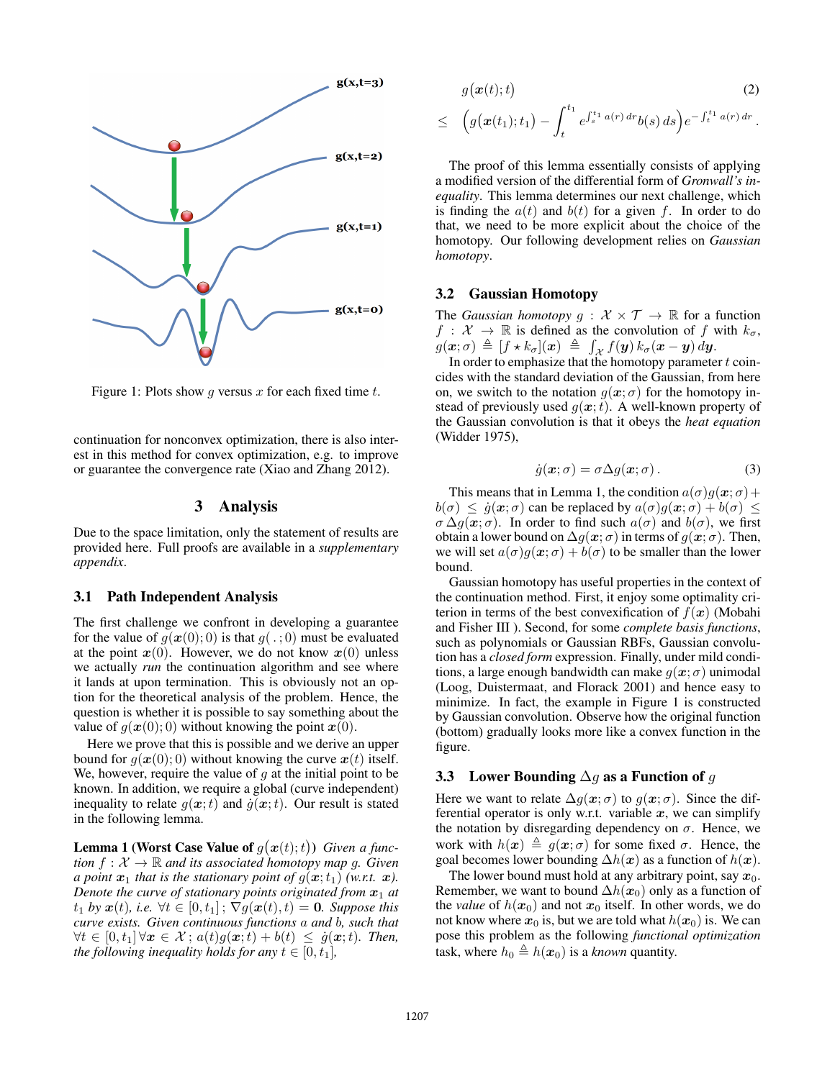

Figure 1: Plots show q versus x for each fixed time t.

continuation for nonconvex optimization, there is also interest in this method for convex optimization, e.g. to improve or guarantee the convergence rate (Xiao and Zhang 2012).

#### 3 Analysis

Due to the space limitation, only the statement of results are provided here. Full proofs are available in a *supplementary appendix*.

#### 3.1 Path Independent Analysis

The first challenge we confront in developing a guarantee for the value of  $g(\boldsymbol{x}(0); 0)$  is that  $g(.; 0)$  must be evaluated at the point  $x(0)$ . However, we do not know  $x(0)$  unless we actually *run* the continuation algorithm and see where it lands at upon termination. This is obviously not an option for the theoretical analysis of the problem. Hence, the question is whether it is possible to say something about the value of  $g(x(0); 0)$  without knowing the point  $x(0)$ .

Here we prove that this is possible and we derive an upper bound for  $q(x(0); 0)$  without knowing the curve  $x(t)$  itself. We, however, require the value of  $q$  at the initial point to be known. In addition, we require a global (curve independent) inequality to relate  $g(x;t)$  and  $\dot{g}(x;t)$ . Our result is stated in the following lemma.

**Lemma 1 (Worst Case Value of**  $g(x(t);t)$ ) *Given a function*  $f: \mathcal{X} \to \mathbb{R}$  *and its associated homotopy map g. Given a point*  $x_1$  *that is the stationary point of*  $g(x; t_1)$  *(w.r.t.*  $x$ *). Denote the curve of stationary points originated from*  $x_1$  *at*  $t_1$  *by*  $\mathbf{x}(t)$ *, i.e.*  $\forall t \in [0, t_1]$ ;  $\nabla g(\mathbf{x}(t), t) = \mathbf{0}$ *. Suppose this curve exists. Given continuous functions* a *and* b*, such that*  $\forall t \in [0, t_1] \forall x \in \mathcal{X}$ ;  $a(t)g(x;t) + b(t) \leq \dot{g}(x;t)$ *. Then, the following inequality holds for any*  $t \in [0, t_1]$ *,* 

$$
g(\boldsymbol{x}(t);t) \qquad (2)
$$
  
\$\leq \left( g(\boldsymbol{x}(t\_1);t\_1) - \int\_t^{t\_1} e^{\int\_s^{t\_1} a(r) dr} b(s) ds \right) e^{-\int\_t^{t\_1} a(r) dr}\$.

The proof of this lemma essentially consists of applying a modified version of the differential form of *Gronwall's inequality*. This lemma determines our next challenge, which is finding the  $a(t)$  and  $b(t)$  for a given f. In order to do that, we need to be more explicit about the choice of the homotopy. Our following development relies on *Gaussian homotopy*.

#### 3.2 Gaussian Homotopy

The *Gaussian homotopy*  $g : \mathcal{X} \times \mathcal{T} \rightarrow \mathbb{R}$  for a function  $f: \mathcal{X} \to \mathbb{R}$  is defined as the convolution of f with  $k_{\sigma}$ ,  $g(\boldsymbol{x}; \sigma) \triangleq [f \star k_{\sigma}](\boldsymbol{x}) \triangleq \int_{\mathcal{X}} f(\boldsymbol{y}) k_{\sigma}(\boldsymbol{x} - \boldsymbol{y}) d\boldsymbol{y}.$ 

In order to emphasize that the homotopy parameter  $t$  coincides with the standard deviation of the Gaussian, from here on, we switch to the notation  $q(x; \sigma)$  for the homotopy instead of previously used  $q(x; t)$ . A well-known property of the Gaussian convolution is that it obeys the *heat equation* (Widder 1975),

$$
\dot{g}(\mathbf{x}; \sigma) = \sigma \Delta g(\mathbf{x}; \sigma). \tag{3}
$$

This means that in Lemma 1, the condition  $a(\sigma)q(\mathbf{x}; \sigma)+$  $b(\sigma) \leq \dot{g}(\mathbf{x}; \sigma)$  can be replaced by  $a(\sigma)g(\mathbf{x}; \sigma) + b(\sigma) \leq$  $\sigma \Delta g(x;\sigma)$ . In order to find such  $a(\sigma)$  and  $b(\sigma)$ , we first obtain a lower bound on  $\Delta g(\mathbf{x}; \sigma)$  in terms of  $g(\mathbf{x}; \sigma)$ . Then, we will set  $a(\sigma)g(x;\sigma) + b(\sigma)$  to be smaller than the lower bound.

Gaussian homotopy has useful properties in the context of the continuation method. First, it enjoy some optimality criterion in terms of the best convexification of  $f(x)$  (Mobahi and Fisher III ). Second, for some *complete basis functions*, such as polynomials or Gaussian RBFs, Gaussian convolution has a *closed form* expression. Finally, under mild conditions, a large enough bandwidth can make  $q(x; \sigma)$  unimodal (Loog, Duistermaat, and Florack 2001) and hence easy to minimize. In fact, the example in Figure 1 is constructed by Gaussian convolution. Observe how the original function (bottom) gradually looks more like a convex function in the figure.

#### 3.3 Lower Bounding  $\Delta g$  as a Function of g

Here we want to relate  $\Delta g(x;\sigma)$  to  $g(x;\sigma)$ . Since the differential operator is only w.r.t. variable  $x$ , we can simplify the notation by disregarding dependency on  $\sigma$ . Hence, we work with  $h(x) \triangleq q(x;\sigma)$  for some fixed  $\sigma$ . Hence, the goal becomes lower bounding  $\Delta h(x)$  as a function of  $h(x)$ .

The lower bound must hold at any arbitrary point, say  $x_0$ . Remember, we want to bound  $\Delta h(x_0)$  only as a function of the *value* of  $h(x_0)$  and not  $x_0$  itself. In other words, we do not know where  $x_0$  is, but we are told what  $h(x_0)$  is. We can pose this problem as the following *functional optimization* task, where  $h_0 \triangleq h(x_0)$  is a *known* quantity.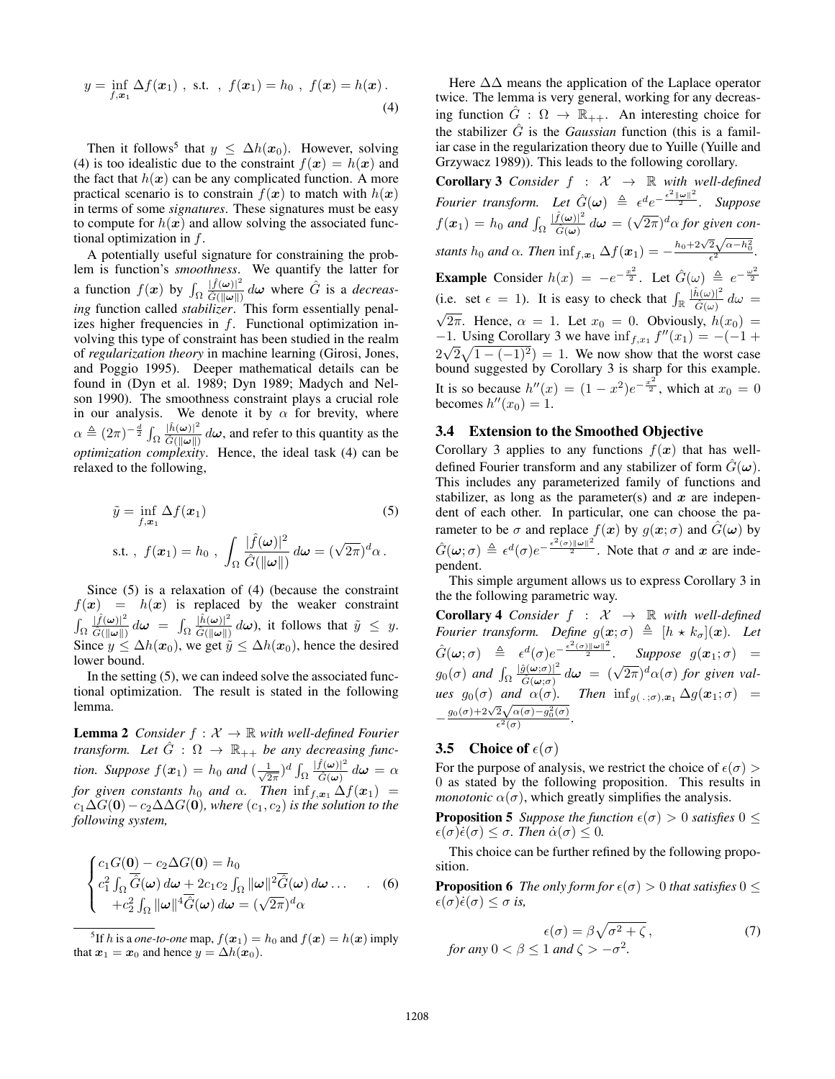$$
y = \inf_{f, \mathbf{x}_1} \Delta f(\mathbf{x}_1)
$$
, s.t. ,  $f(\mathbf{x}_1) = h_0$ ,  $f(\mathbf{x}) = h(\mathbf{x})$ . (4)

Then it follows<sup>5</sup> that  $y \leq \Delta h(x_0)$ . However, solving (4) is too idealistic due to the constraint  $f(x) = h(x)$  and the fact that  $h(x)$  can be any complicated function. A more practical scenario is to constrain  $f(x)$  to match with  $h(x)$ in terms of some *signatures*. These signatures must be easy to compute for  $h(x)$  and allow solving the associated functional optimization in  $f$ .

A potentially useful signature for constraining the problem is function's *smoothness*. We quantify the latter for a function  $f(x)$  by  $\int_{\Omega}$  $|\hat{f}(\boldsymbol{\omega})|^2$  $\frac{|\hat{f}(\omega)|^2}{|\hat{G}(\|\omega\|)} d\omega$  where  $\hat{G}$  is a *decreasing* function called *stabilizer*. This form essentially penalizes higher frequencies in  $f$ . Functional optimization involving this type of constraint has been studied in the realm of *regularization theory* in machine learning (Girosi, Jones, and Poggio 1995). Deeper mathematical details can be found in (Dyn et al. 1989; Dyn 1989; Madych and Nelson 1990). The smoothness constraint plays a crucial role in our analysis. We denote it by  $\alpha$  for brevity, where  $\alpha \triangleq (2\pi)^{-\frac{d}{2}} \int_{\Omega}$  $|\hat{h}(\boldsymbol{\omega})|^2$  $\frac{|h(\omega)|}{|\hat{G}(\|\omega\|)} d\omega$ , and refer to this quantity as the *optimization complexity*. Hence, the ideal task (4) can be relaxed to the following,

$$
\tilde{y} = \inf_{f, \mathbf{x}_1} \Delta f(\mathbf{x}_1)
$$
\n
$$
\text{s.t.}, \ f(\mathbf{x}_1) = h_0 \ , \ \int_{\Omega} \frac{|\hat{f}(\boldsymbol{\omega})|^2}{\hat{G}(|\boldsymbol{\omega}||)} \, d\boldsymbol{\omega} = (\sqrt{2\pi})^d \alpha \ .
$$
\n(5)

Since (5) is a relaxation of (4) (because the constraint  $f(x) = h(x)$  is replaced by the weaker constraint  $\int_\Omega$  $|\widehat{f}(\boldsymbol{\omega})|^2$  $\frac{|f(\omega)|^2}{\hat{G}(\|\omega\|)} d\omega = \int_{\Omega}$  $|\hat{h}(\boldsymbol{\omega})|^2$  $\frac{|h(\omega)|^2}{\hat{G}(\|\omega\|)} d\omega$ , it follows that  $\tilde{y} \leq y$ . Since  $y \le \Delta h(x_0)$ , we get  $\tilde{y} \le \Delta h(x_0)$ , hence the desired lower bound.

In the setting (5), we can indeed solve the associated functional optimization. The result is stated in the following lemma.

**Lemma 2** *Consider*  $f : \mathcal{X} \to \mathbb{R}$  *with well-defined Fourier transform.* Let  $\hat{G}$ :  $\Omega \rightarrow \mathbb{R}_{++}$  be any decreasing func*tion.* Suppose  $f(x_1) = h_0$  and  $\left(\frac{1}{\sqrt{2}}\right)$  $\frac{1}{2\pi}$ <sup>d</sup>  $\int_{\Omega}$  $|\widehat{f}(\boldsymbol{\omega})|^2$  $\frac{d\mathcal{L}(\omega)|}{\hat{G}(\omega)}d\omega = \alpha$ *for given constants*  $h_0$  *and*  $\alpha$ *. Then*  $\inf_{f,\mathbf{x}_1} \Delta f(\mathbf{x}_1) =$  $c_1\Delta G(\mathbf{0})-c_2\Delta\Delta G(\mathbf{0})$ *, where*  $(c_1,c_2)$  *is the solution to the following system,*

$$
\begin{cases} c_1 G(\mathbf{0}) - c_2 \Delta G(\mathbf{0}) = h_0 \\ c_1^2 \int_{\Omega} \overline{\hat{G}}(\omega) d\omega + 2c_1 c_2 \int_{\Omega} ||\omega||^2 \overline{\hat{G}}(\omega) d\omega \dots \\ + c_2^2 \int_{\Omega} ||\omega||^4 \overline{\hat{G}}(\omega) d\omega = (\sqrt{2\pi})^d \alpha \end{cases} \tag{6}
$$

Here  $\Delta\Delta$  means the application of the Laplace operator twice. The lemma is very general, working for any decreasing function  $\hat{G}$  :  $\Omega \to \mathbb{R}_{++}$ . An interesting choice for the stabilizer  $\hat{G}$  is the *Gaussian* function (this is a familiar case in the regularization theory due to Yuille (Yuille and Grzywacz 1989)). This leads to the following corollary.

**Corollary 3** *Consider*  $f : \mathcal{X} \rightarrow \mathbb{R}$  *with well-defined* Fourier transform. Let  $\hat{G}(\omega) \triangleq \epsilon^d e^{-\frac{\epsilon^2 ||\omega||^2}{2}}$ . Suppose  $f(\boldsymbol{x}_1) = h_0$  and  $\int_{\Omega}$  $|\hat{f}(\boldsymbol{\omega})|^2$  $\frac{\hat{f}(\omega)|^2}{\hat{G}(\omega)}d\omega = (\sqrt{2\pi})^d \alpha$  for given con*stants*  $h_0$  *and*  $\alpha$ *. Then*  $\inf_{f,\boldsymbol{x}_1} \Delta f(\boldsymbol{x}_1) = -\frac{h_0 + 2\sqrt{2}\sqrt{\alpha - h_0^2}}{\epsilon^2}$ *.* √ **Example** Consider  $h(x) = -e^{-\frac{x^2}{2}}$ . Let  $\hat{G}(\omega) \triangleq e^{-\frac{\omega^2}{2}}$ (i.e. set  $\epsilon = 1$ ). It is easy to check that  $\int_{\mathbb{R}} \frac{|\hat{h}(\omega)|^2}{\hat{G}(\omega)}$  $\frac{n(\omega)|}{\hat{G}(\omega)} d\omega =$ √ 2π. Hence,  $\alpha = 1$ . Let  $x_0 = 0$ . Obviously,  $h(x_0) =$  $-1$ . Using Corollary 3 we have  $\inf_{f,x_1} f''(x_1) = -(-1 +$  $2\sqrt{2}\sqrt{1-(-1)^2}$  = 1. We now show that the worst case bound suggested by Corollary 3 is sharp for this example. It is so because  $h''(x) = (1 - x^2)e^{-\frac{x^2}{2}}$ , which at  $x_0 = 0$ becomes  $h''(x_0) = 1$ .

#### 3.4 Extension to the Smoothed Objective

Corollary 3 applies to any functions  $f(x)$  that has welldefined Fourier transform and any stabilizer of form  $\tilde{G}(\omega)$ . This includes any parameterized family of functions and stabilizer, as long as the parameter(s) and  $x$  are independent of each other. In particular, one can choose the parameter to be  $\sigma$  and replace  $f(x)$  by  $g(x; \sigma)$  and  $\hat{G}(\omega)$  by  $\hat{G}(\omega;\sigma) \triangleq \epsilon^d(\sigma)e^{-\frac{\epsilon^2(\sigma)\|\omega\|^2}{2}}$ . Note that  $\sigma$  and  $x$  are independent.

This simple argument allows us to express Corollary 3 in the the following parametric way.

**Corollary 4** *Consider*  $f : \mathcal{X} \rightarrow \mathbb{R}$  *with well-defined Fourier transform.* Define  $g(x; \sigma) \triangleq [h \star k_{\sigma}](x)$ . Let  $\hat{G}(\boldsymbol{\omega};\sigma) \ \triangleq \ \epsilon^d(\sigma)e^{-\frac{\epsilon^2(\sigma) \|\boldsymbol{\omega}\|^2}{2}}.$  Suppose  $g(\boldsymbol{x}_1;\sigma)$  =  $g_0(\sigma)$  and  $\int_{\Omega}$  $|\hat{g}(\boldsymbol{\omega};\sigma)|^2$  $\frac{\partial (\omega;\sigma)|^2}{\partial (\omega;\sigma)}d\omega = (\sqrt{2\pi})^d\alpha(\sigma)$  for given val*ues*  $g_0(\sigma)$  *and*  $\alpha(\sigma)$ *. Then*  $\inf_{g(\cdot, \tau) \in \mathcal{F}} \Delta g(x_1; \sigma)$  =  $-\frac{g_0(\sigma)+2\sqrt{2}\sqrt{\alpha(\sigma)-g_0^2(\sigma)}}{c^2(\sigma)}$  $\frac{2\sqrt{\alpha(\sigma)-g_0(\sigma)}}{\epsilon^2(\sigma)}.$ 

## **3.5** Choice of  $\epsilon(\sigma)$

For the purpose of analysis, we restrict the choice of  $\epsilon(\sigma)$ 0 as stated by the following proposition. This results in *monotonic*  $\alpha(\sigma)$ , which greatly simplifies the analysis.

**Proposition 5** *Suppose the function*  $\epsilon(\sigma) > 0$  *satisfies*  $0 \leq$  $\epsilon(\sigma)\dot{\epsilon}(\sigma) \leq \sigma$ . Then  $\dot{\alpha}(\sigma) \leq 0$ .

This choice can be further refined by the following proposition.

**Proposition 6** *The only form for*  $\epsilon(\sigma) > 0$  *that satisfies*  $0 \leq$  $\epsilon(\sigma)\dot{\epsilon}(\sigma) \leq \sigma$  *is,* 

$$
\epsilon(\sigma) = \beta \sqrt{\sigma^2 + \zeta},
$$
\nfor any  $0 < \beta \leq 1$  and  $\zeta > -\sigma^2$ .

\n(7)

 $^5$ If  $h$  is a *one-to-one* map,  $f(\boldsymbol{x}_1) = h_0$  and  $f(\boldsymbol{x}) = h(\boldsymbol{x})$  imply that  $x_1 = x_0$  and hence  $y = \Delta h(x_0)$ .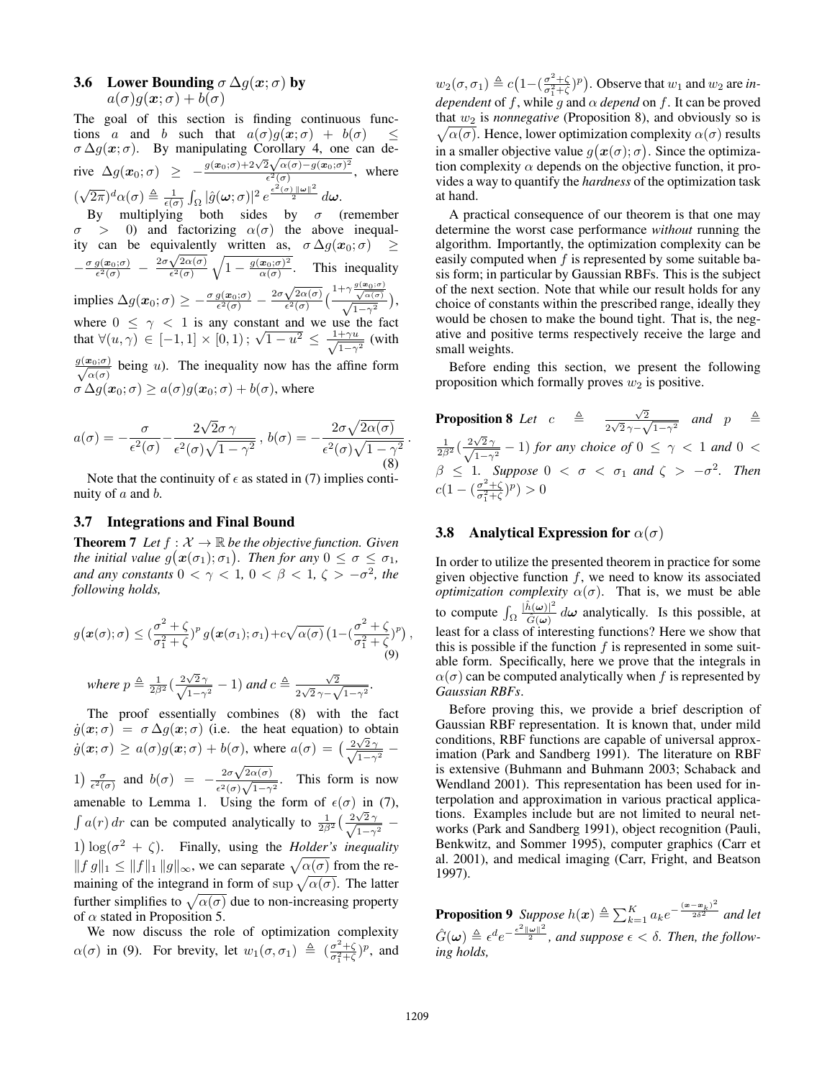# 3.6 Lower Bounding  $\sigma \Delta q(x;\sigma)$  by  $a(\sigma)q(\boldsymbol{x};\sigma) + b(\sigma)$

The goal of this section is finding continuous functions a and b such that  $a(\sigma)g(x;\sigma) + b(\sigma) \leq$  $\sigma \Delta g(x;\sigma)$ . By manipulating Corollary 4, one can de- $\sigma \Delta g(x;\sigma)$ . By manipulating Corollary 4, one<br>
rive  $\Delta g(x_0;\sigma) \geq -\frac{g(x_0;\sigma) + 2\sqrt{2}\sqrt{\alpha(\sigma) - g(x_0;\sigma)^2}}{\epsilon^2(\sigma)}$  $\frac{\partial^2 \mathbf{V}^{\alpha(\sigma)-g(\mathbf{x}_0,\sigma)}}{\partial^2(\sigma)}$ , where ( √  $(\overline{2\pi})^d \alpha(\sigma) \triangleq \frac{1}{\epsilon(\sigma)} \int_{\Omega} |\hat{g}(\boldsymbol{\omega};\sigma)|^2 e^{\frac{\epsilon^2(\sigma) \cdot ||\boldsymbol{\omega}||^2}{2}} d\boldsymbol{\omega}.$ 

By multiplying both sides by  $\sigma$  (remember  $\sigma > 0$ ) and factorizing  $\alpha(\sigma)$  the above inequality can be equivalently written as,  $\sigma \Delta g(x_0; \sigma) \geq$ ity can be equivalent<br>  $-\frac{\sigma g(x_0;\sigma)}{\epsilon^2(\sigma)} - \frac{2\sigma\sqrt{2\alpha(\sigma)}}{\epsilon^2(\sigma)}$  $\frac{\sqrt{2\alpha(\sigma)}}{\epsilon^2(\sigma)}\sqrt{1-\frac{g(\bm{x}_0;\sigma)^2}{\alpha(\sigma)}}$  $\frac{\mathbf{x}_0(\sigma)^2}{\alpha(\sigma)}$ . This inequality implies  $\Delta g(\bm{x}_{0};\sigma)\geq-\frac{\sigma g(\bm{x}_{0};\sigma)}{\epsilon^{2}(\sigma)}-\frac{2\sigma\sqrt{2\alpha(\sigma)}}{\epsilon^{2}(\sigma)}$  $\sqrt{g(x_0;\sigma)}$  1+ $\sim \frac{g(x_0;\sigma)}{g(x_0;\sigma)}$  $\frac{\sqrt{2\alpha(\sigma)}}{\epsilon^2(\sigma)}\Big(\frac{1+\gamma\frac{g(\bm{x}_0;\sigma)}{\sqrt{\alpha(\sigma)}}}{\sqrt{1-\gamma^2}}\Big),$ where  $0 \leq \gamma < 1$  is any constant and we use the fact that  $\forall (u, \gamma) \in [-1, 1] \times [0, 1)$ ;  $\sqrt{1 - u^2} \leq \frac{1 + \gamma u}{\sqrt{1 - u^2}}$  (with  $\frac{+\gamma u}{1-\gamma^2}$  (with  $\frac{g(\bm{x}_0;\sigma)}{f(\bm{x})}$  $\frac{\mathbf{r}_{0}(\sigma)}{\alpha(\sigma)}$  being u). The inequality now has the affine form  $\sigma \Delta g(x_0; \sigma) \ge a(\sigma)g(x_0; \sigma) + b(\sigma)$ , where

$$
a(\sigma) = -\frac{\sigma}{\epsilon^2(\sigma)} - \frac{2\sqrt{2}\sigma\,\gamma}{\epsilon^2(\sigma)\sqrt{1-\gamma^2}}, \, b(\sigma) = -\frac{2\sigma\sqrt{2\alpha(\sigma)}}{\epsilon^2(\sigma)\sqrt{1-\gamma^2}}.
$$

Note that the continuity of  $\epsilon$  as stated in (7) implies continuity of  $a$  and  $b$ .

## 3.7 Integrations and Final Bound

**Theorem 7** *Let*  $f : \mathcal{X} \to \mathbb{R}$  *be the objective function. Given the initial value*  $g(x(\sigma_1); \sigma_1)$ *. Then for any*  $0 \le \sigma \le \sigma_1$ *, and any constants*  $0 < \gamma < 1$ ,  $0 < \beta < 1$ ,  $\zeta > -\sigma^2$ , the *following holds,*

$$
g(\boldsymbol{x}(\sigma);\sigma) \leq (\frac{\sigma^2+\zeta}{\sigma_1^2+\zeta})^p g(\boldsymbol{x}(\sigma_1);\sigma_1) + c\sqrt{\alpha(\sigma)} \left(1-(\frac{\sigma^2+\zeta}{\sigma_1^2+\zeta})^p\right),
$$
  
where  $p \triangleq \frac{1}{2\beta^2} \left(\frac{2\sqrt{2}\gamma}{\sqrt{1-\gamma^2}}-1\right)$  and  $c \triangleq \frac{\sqrt{2}}{2\sqrt{2}\gamma-\sqrt{1-\gamma^2}}$ .

The proof essentially combines (8) with the fact  $\dot{g}(\mathbf{x}; \sigma) = \sigma \Delta g(\mathbf{x}; \sigma)$  (i.e. the heat equation) to obtain  $\dot{g}(\boldsymbol{x};\sigma) \ge a(\sigma)g(\boldsymbol{x};\sigma) + b(\sigma)$ , where  $a(\sigma) = \left(\frac{2\sqrt{2}\gamma}{\sqrt{1-\gamma^2}} - \sigma\right)$ 1)  $\frac{\sigma}{\epsilon^2(\sigma)}$  and  $b(\sigma) = -\frac{2\sigma\sqrt{2\alpha(\sigma)}}{\epsilon^2(\sigma)\sqrt{1-\gamma}}$  $rac{2\sigma\sqrt{2\alpha(\sigma)}}{\epsilon^2(\sigma)\sqrt{1-\gamma^2}}$ . This form is now amenable to Lemma 1. Using the form of  $\epsilon(\sigma)$  in (7),  $\int a(r) dr$  can be computed analytically to  $\frac{1}{2\beta^2} \left( \frac{2\sqrt{2\gamma}}{\sqrt{1-\gamma^2}} - \right)$ 1)  $\log(\sigma^2 + \zeta)$ . Finally, using the *Holder's inequality*  $||fg||_1 \le ||f||_1 ||g||_{\infty}$ , we can separate  $\sqrt{\alpha(\sigma)}$  from the remaining of the integrand in form of sup  $\sqrt{\alpha(\sigma)}$ . The latter further simplifies to  $\sqrt{\alpha(\sigma)}$  due to non-increasing property of  $\alpha$  stated in Proposition 5.

We now discuss the role of optimization complexity  $\alpha(\sigma)$  in (9). For brevity, let  $w_1(\sigma, \sigma_1) \triangleq \left(\frac{\sigma^2 + \zeta}{\sigma^2 + \zeta}\right)$  $\frac{\sigma^2 + \zeta}{\sigma_1^2 + \zeta}$ )<sup>*p*</sup>, and

 $w_2(\sigma, \sigma_1) \triangleq c \left(1 - \left(\frac{\sigma^2 + \zeta}{\sigma_1^2 + \zeta}\right)\right)$  $\frac{\sigma^2 + \zeta}{\sigma_1^2 + \zeta}$ )<sup>*p*</sup>). Observe that  $w_1$  and  $w_2$  are *independent* of f, while g and  $\alpha$  *depend* on f. It can be proved that  $w_2$  is *nonnegative* (Proposition 8), and obviously so is  $\sqrt{\alpha(\sigma)}$ . Hence, lower optimization complexity  $\alpha(\sigma)$  results in a smaller objective value  $g(\boldsymbol{x}(\sigma);\sigma)$ . Since the optimization complexity  $\alpha$  depends on the objective function, it provides a way to quantify the *hardness* of the optimization task at hand.

A practical consequence of our theorem is that one may determine the worst case performance *without* running the algorithm. Importantly, the optimization complexity can be easily computed when f is represented by some suitable basis form; in particular by Gaussian RBFs. This is the subject of the next section. Note that while our result holds for any choice of constants within the prescribed range, ideally they would be chosen to make the bound tight. That is, the negative and positive terms respectively receive the large and small weights.

Before ending this section, we present the following proposition which formally proves  $w_2$  is positive.

**Proposition 8** Let  $c \triangleq \frac{\sqrt{2}}{2}$  $\frac{\sqrt{2}}{2\sqrt{2}\gamma - \sqrt{1-\gamma^2}}$  and  $p \triangleq$  $\frac{1}{2\beta^2}(\frac{2\sqrt{2\gamma}}{\sqrt{1-\gamma^2}}-1)$  *for any choice of*  $0 \leq \gamma < 1$  *and*  $0 <$ √  $\beta \leq 1$ *. Suppose*  $0 < \sigma < \sigma_1$  and  $\zeta > -\sigma^2$ *. Then*  $c(1-(\frac{\sigma^2+\zeta}{\sigma^2+\zeta})$  $\frac{\sigma^2 + \zeta}{\sigma_1^2 + \zeta}$ ) $p$ ) > 0

# **3.8** Analytical Expression for  $\alpha(\sigma)$

In order to utilize the presented theorem in practice for some given objective function  $f$ , we need to know its associated *optimization complexity*  $\alpha(\sigma)$ . That is, we must be able to compute  $\int_{\Omega}$  $|\hat{h}(\boldsymbol{\omega})|^2$  $\frac{d(\omega)}{\hat{G}(\omega)}$  d $\omega$  analytically. Is this possible, at least for a class of interesting functions? Here we show that this is possible if the function  $f$  is represented in some suitable form. Specifically, here we prove that the integrals in  $\alpha(\sigma)$  can be computed analytically when f is represented by *Gaussian RBFs*.

Before proving this, we provide a brief description of Gaussian RBF representation. It is known that, under mild conditions, RBF functions are capable of universal approximation (Park and Sandberg 1991). The literature on RBF is extensive (Buhmann and Buhmann 2003; Schaback and Wendland 2001). This representation has been used for interpolation and approximation in various practical applications. Examples include but are not limited to neural networks (Park and Sandberg 1991), object recognition (Pauli, Benkwitz, and Sommer 1995), computer graphics (Carr et al. 2001), and medical imaging (Carr, Fright, and Beatson 1997).

**Proposition 9** Suppose  $h(x) \triangleq \sum_{k=1}^{K} a_k e^{-\frac{(x-x_k)^2}{2\delta^2}}$  and let  $\hat{G}(\boldsymbol{\omega}) \triangleq \epsilon^d e^{-\frac{\epsilon^2 \|\boldsymbol{\omega}\|^2}{2}}$ , and suppose  $\epsilon < \delta$ . Then, the follow*ing holds,*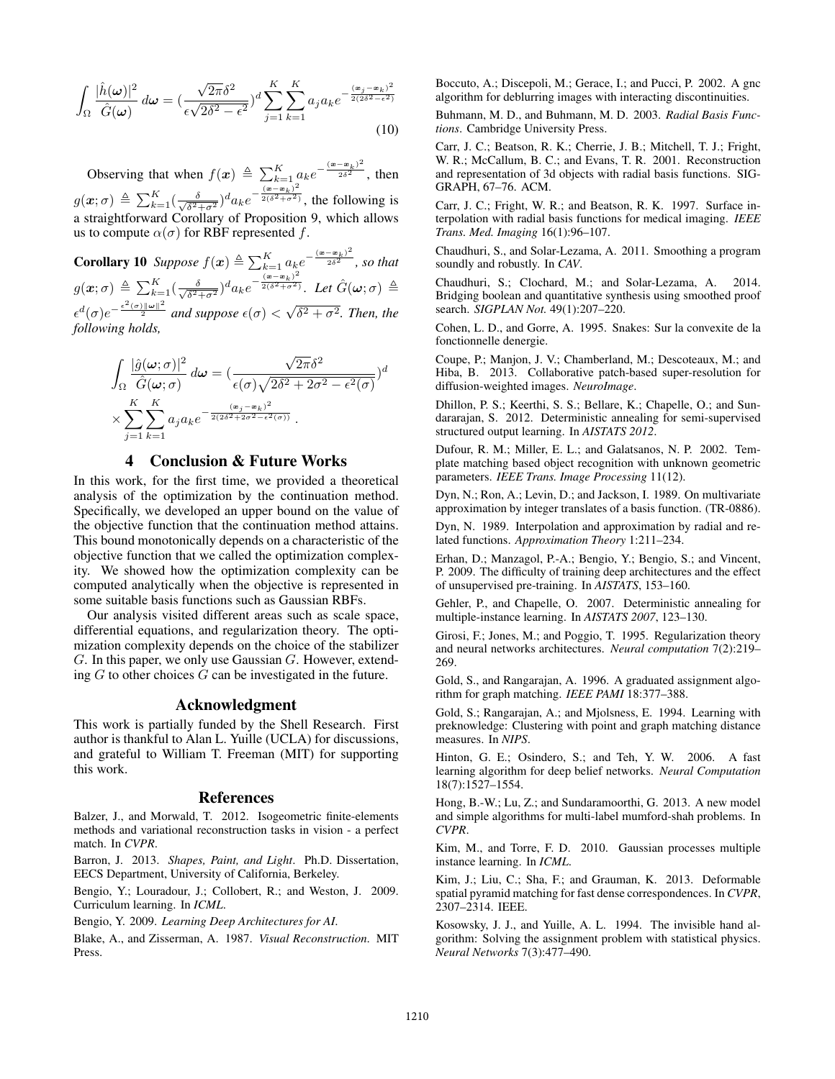$$
\int_{\Omega} \frac{|\hat{h}(\omega)|^2}{\hat{G}(\omega)} d\omega = \left(\frac{\sqrt{2\pi}\delta^2}{\epsilon\sqrt{2\delta^2 - \epsilon^2}}\right)^d \sum_{j=1}^K \sum_{k=1}^K a_j a_k e^{-\frac{(\mathbf{x}_j - \mathbf{x}_k)^2}{2(2\delta^2 - \epsilon^2)}} \tag{10}
$$

Observing that when  $f(x) \triangleq \sum_{k=1}^{K} a_k e^{-\frac{(\mathbf{x}-\mathbf{x}_k)^2}{2\delta^2}}$ , then  $g(\boldsymbol{x};\sigma) \triangleq \sum_{k=1}^K (\frac{\delta}{\sqrt{\delta^2 \sigma^2}})$  $\frac{\delta}{\delta^2+\sigma^2}$ ) $\frac{d}{dt}$  $e^{-\frac{(\mathbf{x}-\mathbf{x}_k)^2}{2(\delta^2+\sigma^2)}}$ , the following is a straightforward Corollary of Proposition 9, which allows us to compute  $\alpha(\sigma)$  for RBF represented f.

**Corollary 10** Suppose  $f(x) \triangleq \sum_{k=1}^{K} a_k e^{-\frac{(x-x_k)^2}{2\delta^2}}$ , so that  $g(\boldsymbol{x};\sigma) \,\triangleq\, \sum_{k=1}^K (\frac{\delta}{\sqrt{\delta^2 \sigma^2}})$  $\frac{\delta}{\delta^2+\sigma^2})^da_ke^{-\frac{(\boldsymbol{x}-\boldsymbol{x}_k)^2}{2(\delta^2+\sigma^2)}}$ *. Let*  $\hat{G}(\boldsymbol{\omega};\sigma) \triangleq$  $\epsilon^d(\sigma)e^{-\frac{\epsilon^2(\sigma)\|\boldsymbol{\omega}\|^2}{2}}$  and suppose  $\epsilon(\sigma)$  < √  $\overline{\delta^2 + \sigma^2}$ . Then, the *following holds,*

$$
\int_{\Omega} \frac{|\hat{g}(\omega;\sigma)|^2}{\hat{G}(\omega;\sigma)} d\omega = \left(\frac{\sqrt{2\pi}\delta^2}{\epsilon(\sigma)\sqrt{2\delta^2 + 2\sigma^2 - \epsilon^2(\sigma)}}\right)^{d}
$$

$$
\times \sum_{j=1}^{K} \sum_{k=1}^{K} a_j a_k e^{-\frac{(x_j - x_k)^2}{2(2\delta^2 + 2\sigma^2 - \epsilon^2(\sigma))}}.
$$

## 4 Conclusion & Future Works

In this work, for the first time, we provided a theoretical analysis of the optimization by the continuation method. Specifically, we developed an upper bound on the value of the objective function that the continuation method attains. This bound monotonically depends on a characteristic of the objective function that we called the optimization complexity. We showed how the optimization complexity can be computed analytically when the objective is represented in some suitable basis functions such as Gaussian RBFs.

Our analysis visited different areas such as scale space, differential equations, and regularization theory. The optimization complexity depends on the choice of the stabilizer  $G$ . In this paper, we only use Gaussian  $G$ . However, extending  $G$  to other choices  $G$  can be investigated in the future.

## Acknowledgment

This work is partially funded by the Shell Research. First author is thankful to Alan L. Yuille (UCLA) for discussions, and grateful to William T. Freeman (MIT) for supporting this work.

#### References

Balzer, J., and Morwald, T. 2012. Isogeometric finite-elements methods and variational reconstruction tasks in vision - a perfect match. In *CVPR*.

Barron, J. 2013. *Shapes, Paint, and Light*. Ph.D. Dissertation, EECS Department, University of California, Berkeley.

Bengio, Y.; Louradour, J.; Collobert, R.; and Weston, J. 2009. Curriculum learning. In *ICML*.

Bengio, Y. 2009. *Learning Deep Architectures for AI*.

Blake, A., and Zisserman, A. 1987. *Visual Reconstruction*. MIT Press.

Boccuto, A.; Discepoli, M.; Gerace, I.; and Pucci, P. 2002. A gnc algorithm for deblurring images with interacting discontinuities.

Buhmann, M. D., and Buhmann, M. D. 2003. *Radial Basis Functions*. Cambridge University Press.

Carr, J. C.; Beatson, R. K.; Cherrie, J. B.; Mitchell, T. J.; Fright, W. R.; McCallum, B. C.; and Evans, T. R. 2001. Reconstruction and representation of 3d objects with radial basis functions. SIG-GRAPH, 67–76. ACM.

Carr, J. C.; Fright, W. R.; and Beatson, R. K. 1997. Surface interpolation with radial basis functions for medical imaging. *IEEE Trans. Med. Imaging* 16(1):96–107.

Chaudhuri, S., and Solar-Lezama, A. 2011. Smoothing a program soundly and robustly. In *CAV*.

Chaudhuri, S.; Clochard, M.; and Solar-Lezama, A. 2014. Bridging boolean and quantitative synthesis using smoothed proof search. *SIGPLAN Not.* 49(1):207–220.

Cohen, L. D., and Gorre, A. 1995. Snakes: Sur la convexite de la fonctionnelle denergie.

Coupe, P.; Manjon, J. V.; Chamberland, M.; Descoteaux, M.; and Hiba, B. 2013. Collaborative patch-based super-resolution for diffusion-weighted images. *NeuroImage*.

Dhillon, P. S.; Keerthi, S. S.; Bellare, K.; Chapelle, O.; and Sundararajan, S. 2012. Deterministic annealing for semi-supervised structured output learning. In *AISTATS 2012*.

Dufour, R. M.; Miller, E. L.; and Galatsanos, N. P. 2002. Template matching based object recognition with unknown geometric parameters. *IEEE Trans. Image Processing* 11(12).

Dyn, N.; Ron, A.; Levin, D.; and Jackson, I. 1989. On multivariate approximation by integer translates of a basis function. (TR-0886).

Dyn, N. 1989. Interpolation and approximation by radial and related functions. *Approximation Theory* 1:211–234.

Erhan, D.; Manzagol, P.-A.; Bengio, Y.; Bengio, S.; and Vincent, P. 2009. The difficulty of training deep architectures and the effect of unsupervised pre-training. In *AISTATS*, 153–160.

Gehler, P., and Chapelle, O. 2007. Deterministic annealing for multiple-instance learning. In *AISTATS 2007*, 123–130.

Girosi, F.; Jones, M.; and Poggio, T. 1995. Regularization theory and neural networks architectures. *Neural computation* 7(2):219– 269.

Gold, S., and Rangarajan, A. 1996. A graduated assignment algorithm for graph matching. *IEEE PAMI* 18:377–388.

Gold, S.; Rangarajan, A.; and Mjolsness, E. 1994. Learning with preknowledge: Clustering with point and graph matching distance measures. In *NIPS*.

Hinton, G. E.; Osindero, S.; and Teh, Y. W. 2006. A fast learning algorithm for deep belief networks. *Neural Computation* 18(7):1527–1554.

Hong, B.-W.; Lu, Z.; and Sundaramoorthi, G. 2013. A new model and simple algorithms for multi-label mumford-shah problems. In *CVPR*.

Kim, M., and Torre, F. D. 2010. Gaussian processes multiple instance learning. In *ICML*.

Kim, J.; Liu, C.; Sha, F.; and Grauman, K. 2013. Deformable spatial pyramid matching for fast dense correspondences. In *CVPR*, 2307–2314. IEEE.

Kosowsky, J. J., and Yuille, A. L. 1994. The invisible hand algorithm: Solving the assignment problem with statistical physics. *Neural Networks* 7(3):477–490.